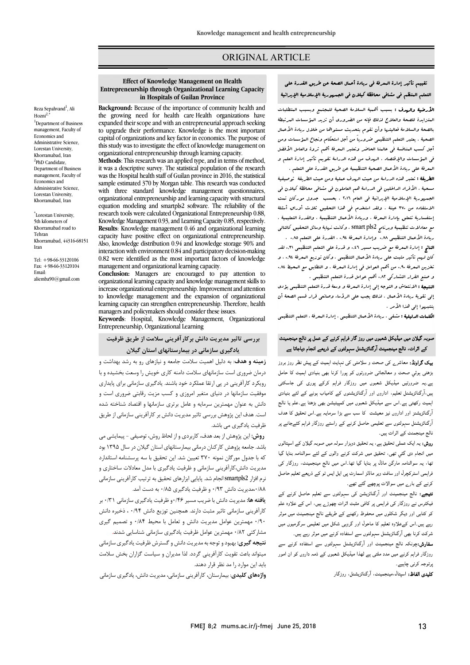### ORIGINAL ARTICLE

# تقییم تأثیر إدارة المعرفۀ فی ریادة أعمال الصحۀ عن طریق القدرة على التعلم المنظم فی مشافی محافظۀ کیلان فی الجمهوریۀ الإسلامیۀ الإیرانیۀ

Ī 

 الأرضیۀ والهدف : بسبب أهمیۀ السلامۀ الصحیۀ للمجتمع وبسبب المتطلبات المتزایدة للصحۀ والعلاج لذلک فإنه من الضروري أن تزید المؤسسات المرتبطۀ بالصحۀ والسلامۀ فعالیتها وأن تقوم بتحدیث مستواها من خلال ریادة الأعمال الصحیۀ . یعتبر التعلم التنظیمی ضروریاً من أجل استحکام ونجاع المؤسسات ومن<br>. ابن السب المشاهد فی عالمیا العاصر وعلیر العلاقة العم تروه والعامل الاصلل<br>فی البؤسسات والإقتصاد . الهدف من هذه الدرامۀ تقویم تأثیر إدارة العلم و المعرفۀ على ریادة الأعمال الصحیۀ التنظیمیۀ عن طریق القدرة على التعلم . أجل کسب المنافسۀ فی عالمنا الحاضر وتعتبر المعرفۀ أهم ثروة والعامل الأفضل

 الطریقۀ : تعتبر هذه الدراسۀ من حیث الهدف عملیۀ ومن حیث الطریقۀ توصیفیۀ مسحیۀ ، الأفراد الداخلین فی الدراسۀ هم العاملون فی مشافی محافظۀ کیلان فی الجمهوریۀ الإسلامیۀ الإیرانیۀ فی العام 2016 . بحسب جدول مورکان تمت لاستفاده من ٣٧٠ عینۀ . ولقد استخدم فی هذا التحقیق ثلاث أوراق أسئلۀ<br>. مستنستاریه تنظیمیۀ بیزارز استعراض و وریارز استعینها . وسایل التحقیق .<br>مع معادلات تنظیمیۀ وبرنامج smart pls2 . وکانت نهایۀ وسائل التحقیق کالتالی ریادة الأعمال التنظیمی 0.88 و 1.88 .<br>ریادة الأعمال التنظیمی 0.4. وإدارة المعرفۀ 0,4. ، القدرة على التعلم 0.4. . الناتج : إدارة المعرفۀ مع ضریب مسیر 0,46 و قدرة على التعلم التنظیمی 0,31 لقد إستفساریۀ تتعلق بإدارة المعرفۀ ، وریادة الأعمال التنظیمیۀ ، والقدرة التعلیمیۀ .

 کان لهم تأثیر مثبت على ریادة الأعمال التنظیمی . وکان توزیع المعرفۀ 0,94 ، و نخزین الىعرفۀ ٩٠,٠ من أهم العوامل فی إدارة الىعرفۀ . و التطابق مع البحیط ٨٤.٠ و صنع القرار التشارکی 0,82 أهم عوامل قدرة التعلم التنظیمی .

السبب الاستفاده و التوجه إلى إداره العديد و وسه قدره العلم الصحيحى يومان<br>إلى تقويۀ ريادة الأعمال . لذلك یجب على الرؤساء وصانعى قرار قسم الصحۀ أن .<br>ينتبهوا إلى هذا الأمر . **النتیجۀ :** الانتعاش و التوجه إلى إدارة الىعرفۀ و وسعۀ قدرة التعلم التنظیمی یؤدى

ا**لکلمات الدلیلیۀ :** مشفی ، ریادة الأعمال التنظیمی ، إدارة المعرفۀ ، التعلم التنظیمی

## صوبہ گیلان میں میڈیکل شعبوں میں روز گار فراہم کرنے کے عمل پر نالج مینجمینٹ کے اثرات، نالج مینجمینٹ آرگنائزیشنل سہولتوں کے ذریعے انجام دیاجاتا ہے

**ییک گراونڈ:** معاشرے ک*ی صحت* و سلامتی کی نہایت اہمیت کے پیش نظر روز بروز <u>بڑ</u>ھتی ہوئی صحت و معالجاتی ضرورتوں کو پورا کرنا بھی بنیادی اہمیت کا حامل ے۔یہ ضرورتیں میڈیکل شعبوں میں روزگار فراہم کرکے پوری کی جاسکتی بیں،آرگنائزیشنل تعلیم، اداروں اور آرگنائزیشنوں کے کامیاب ہونے کے لئے بنیادی ہمیت رکھتی ہے۔اس سے میڈیکل شعبوں میں کمپیٹیشن بھی بڑھتا ہے۔علم یا نالج<br>مصد ارتتائریسر اور اداروں نیر معیست کا سب سے برا سرمایہ ہے۔اس تحقیق نا سات<br>ارگنائزیشنل سہولتوں سے تعلیمی حاصل کرنے کے راستے روزگار فراہم کئےجانے پر ر ۔ رہ ۔ ۔<br>نالج مینجمنٹ کے اثرات ہیں۔ ۔<br>آرگنائزیشنز اور اداروں نیز معیشت کا سب سے بڑا سرمایہ ہے۔اس تحقیق کا ہدف

۔<br>**روش:** یہ ایک عملی تحقیق ہے، یہ تحقیق دوہزار سولہ میں صوبہ گیلان کے اسپتالوں میں انجام دی گئی تھی، تحقیق میں شرکت کرنے والوں کے لئے سوالنامہ بنایا گیا نھا، یہ سوالنامہ مارگن ماڈل پر بنایا گیا تھا۔اس میں نالج مینجمینٹ، روزگار کی فراہمی اسٹرکچرل اور سافٹ ویر ماڈلز اسمارٹ پی ایل ایس ٹو کے ذریعے تعلیم حاصل کرنے کے بار<sub>ے</sub> میں سوالات پوچھے گئے تھے۔<br>م

**تیجے:** نالج مینجمینٹ اور آرگنائزیشن کی سہولتوں سے تعلیم حاصل کرنے کے<br>مصرف مسلمان کے مطابق میں مسلمان اور ایک ایک مطابق کے مطابق میں ایک مطابق ایک ایک ایک ایک ایک ایک ایک ایک ایک ا ۔ د ں ے رزر د کی دی کی رہی ہے ۔۔ د - پہرے ہیں اس کے محر - ہا<br>کو کتابی اور دیگر شکلوں میں محفوظ رکھنے کے طریقے نالج مینجمینٹ میں موثر ے<br>رہے ہیں۔اس کےعلاوہ تعلیم کا ماحول اور گروہی شکل میں تعلیمی سرگرمیوں میں ۔<br>شرکت کرنا بھی آرگنائزیشنل سہولتوں سے استفادہ کرنے میں موثر رہے ہیں۔ فیکٹرس نے روزگار کی فراہمی پر کافی مثبت اثرات چھوڑے ہیں، اس کے علاوہ علم

**سفارش:**چونکہ نالج مینجمینٹ اور آرگنائزیشنل سہولتوں سے استفادہ کرنے سے روزگار فراہم کرنے میں مدد ملتی ہے لھذا میڈیکل شعبوں کے ذمہ داروں کو ان امور پرتوجہ کرنی چاہیے۔

**کلیدی الفاظ:** اسپتال،مینجمینٹ، آرگنائزیشنل، روزگار<br>.

## **Effect of Knowledge Management on Health in Hospitals of Guilan Province Entrepreneurship through Organizational Learning Capacity**

Ī 

 **Background:** Because of the importance of community health and ine growing need for health care rieatin organizations have<br>expanded their scope and with an entrepreneurial approach seeking to upgrade their performance. Knowledge is the most important capital of organizations and key factor in economics. The purpose of<br>this study was to investigate the effect of knowledge management on organizational entrepreneurship through learning capacity. the growing need for health care Health organizations have capital of organizations and key factor in economics. The purpose of

Inctitious: This research was an applied type, and in defins of method,<br>it was a descriptive survey. The statistical population of the research was the Hospital health staff of Guilan province in 2016, the statistical sample estimated 570 by morgan table. This research was conducted<br>with three standard knowledge management questionnaires, organizational entrepreneurship and learning capacity with structural research tools were calculated Organizational Entrepreneurship 0.88, Knowledge Management 0.93, and Learning Capacity 0.85, respectively. capacity have positive effect on organizational entrepreneurship. Also, knowledge distribution 0.94 and knowledge storage 90% and 0.82 were identified as the most important factors of knowledge management and organizational learning capacity. **Methods**: This research was an applied type, and in terms of method, sample estimated 370 by Morgan table. This research was conducted equation modeling and smartpls2 software. The reliability of the **Results**: Knowledge management 0.46 and organizational learning interaction with environment 0.84 and participatory decision-making

 organizational learning capacity and knowledge management skills to increase organizational entrepreneurship.Improvement and attention learning capacity can strengthen entrepreneurship. Therefore, health managers and policymakers should consider these issues.<br>Konwards - Hospital - Kooxiddee - Management - On **Conclusion:** Managers are encouraged to pay attention to to knowledge management and the expansion of organizational

**Keywords**: Hospital, Knowledge Management, Organizational Entrepreneurship, Organizational Learning

 **بررسی تاثیر مدیریت دانش برکارآفرینی سلامت از طریق ظرفیت یادگیري سازمانی در بیمارستانهاي استان گیلان**

 **زمینه و هدف**: به دلیل اهمیت سلامت جامعه و نیازهاي رو به رشد بهداشت و درمان ضروري است سازمانهاي سلامت دامنه کاري خویش را وسعت بخشیده و با رویکرد کارآفرینی در پی ارتقا عملکرد خود باشند. یادگیري سازمانی براي پایداري موفقیت سازمانها در دنیاي متغیر امروزي و کسب مزیت رقابتی ضروري است و دانش به عنوان مهمترین سرمایه و عامل برتري سازمانها و اقتصاد شناخته شده است. هدف این پژوهش بررسی تاثیر مدیریت دانش بر کارآفرینی سازمانی از طریق ظرفیت یادگیري می باشد.

 **روش:** این پژوهش از بعد هدف، کاربردي و از لحاظ روش، توصیفی - پیمایشی می بست. باست پروسس در سال درسای بیمارستانهای استان کیدن در سال ۲۰۱۰، بود<br>که با جدول مورگان نمونه ۳۷۰ تعیین شد. این تحقیق با سه پرسشنامه استاندارد مدیریت دانش،کارآفرینی سازمانی و ظرفیت یادگیري با مدل معادلات ساختاري و نرم افزار 2smartpls انجام شد. پایایی ابزارهاي تحقیق به ترتیب کارآفرینی سازمانی ۰/۸۸مدیریت دانش ۰/۹۳ و ظرفیت یادگیری ۰/۸۵ به دست آمد. باشد. جامعه پژوهش کارکنان درمانی بیمارستانهاي استان گیلان در سال 1395 بود

 **یافته ها:** مدیریت دانش با ضریب مسیر 0/46و ظرفیت یادگیري سازمانی 0/31 بر کارآفرینی سازمانی تاثیر مثبت دارند. همچنین توزیع دانش 0/94 ، ذخیره دانش 0/90 مهمترین عوامل مدیریت دانش و تعامل با محیط 0/84 و تصمیم گیري مشارکتی 0/82 مهمترین عوامل ظرفیت یادگیري سازمانی شناسایی شدند.

 **نتیجه گیري:** بهبود و توجه به مدیریت دانش و گسترش ظرفیت یادگیري سازمانی میتواند باعث تقویت کارآفرینی گردد. لذا مدیران و سیاست گزاران بخش سلامت باید این موارد را مد نظر قرار دهند.

**واژههاي کلیدي**: بیمارستان، کارآفرینی سازمانی، مدیریت دانش، یادگیري سازمانی

Reza Sepahvand<sup>1</sup>, Ali  $Hozni<sup>2</sup>$ <sup>1</sup>Department of Business management, Faculty of Economics and Administrative Science, Lorestan University, Khorramabad, Iran <sup>2</sup>PhD Candidate, Department of Business management, Faculty of Economics and Administrative Science, Lorestan University, Khorramabad, Iran

\* Lorestan University, 5th kilometers of Khorramabad road to Tehran Khorramabad, 44316-68151 Iran

Tel: +98-66-33120106 Fax: +98-66-33120104 Email: aliemba90@gmail.com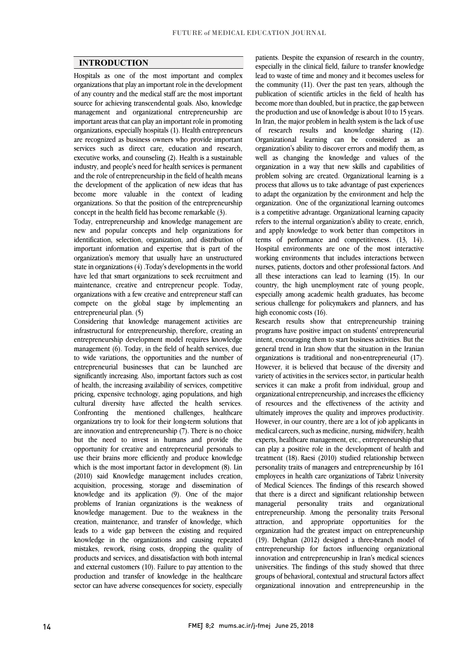### **INTRODUCTION**

 Hospitals as one of the most important and complex organizations that play an important role in the development of any country and the medical staff are the most important source for achieving transcendental goals. Also, Mowledge<br>management and organizational entrepreneurship are important areas that can play an important role in promoting organizations, especially hospitals (1). Health entrepreneurs are recognized as business owners who provide important executive works, and counseling (2). Health is a sustainable industry, and people's need for health services is permanent and the role of entrepreneurship in the field of health means the development of the application of new ideas that has organizations. So that the position of the entrepreneurship source for achieving transcendental goals. Also, knowledge services such as direct care, education and research, become more valuable in the context of leading concept in the health field has become remarkable (3).

 Today, entrepreneurship and knowledge management are new and popular concepts and neip organizations for<br>identification, selection, organization, and distribution of important information and expertise that is part of the organization's memory that usually have an unstructured state in organizations (4) .Today's developments in the world have led that smart organizations to seek recruitment and<br>maintanance areating and antipopropeut negation. Today organizations with a few creative and entrepreneur staff can compete on the global stage by implementing an new and popular concepts and help organizations for maintenance, creative and entrepreneur people. Today, entrepreneurial plan. (5)

 infrastructural for entrepreneurship, therefore, creating an entrepreneurship development model requires knowledge management (6). Today, in the field of health services, due to wide variations, the opportunities and the number of significantly increasing. Also, important factors such as cost of health, the increasing availability of services, competitive pricing, expensive technology, aging populations, and high cultural diversity have affected the health services. organizations try to look for their long-term solutions that are innovation and entrepreneurship (7). There is no choice but the need to invest in humans and provide the opportunity for creative and entrepreneurial personals to which is the most important factor in development (8). Lin (2010) said Knowledge management includes creation, acquisition, processing, storage and dissemination of knowledge and its application (9). One of the major knowledge management. Due to the weakness in the creation, maintenance, and transfer of knowledge, which leads to a wide gap between the existing and required mistakes, rework, rising costs, dropping the quality of products and services, and dissatisfaction with both internal and external customers (10). Failure to pay attention to the production and transfer of knowledge in the healthcare sector can have adverse consequences for society, especially Considering that knowledge management activities are entrepreneurial businesses that can be launched are Confronting the mentioned challenges, healthcare use their brains more efficiently and produce knowledge problems of Iranian organizations is the weakness of knowledge in the organizations and causing repeated

panents. Despite the expansion of research in the country,<br>especially in the clinical field, failure to transfer knowledge lead to waste of time and money and it becomes useless for the community (11). Over the past ten years, although the publication of scientific articles in the field of health has the production and use of knowledge is about 10 to 15 years. In Iran, the major problem in health system is the lack of use of research results and knowledge sharing (12). Organizational learning can be considered as an well as changing the knowledge and values of the organization in a way that new skills and capabilities of problem solving are created. Organizational learning is a process that allows us to take advantage of past experiences organization. One of the organizational learning outcomes is a competitive advantage. Organizational learning capacity refers to the internal organization's ability to create, enrich, and apply knowledge to work better than competitions in<br>terms of performance and competitiveness. (13, 14). Hospital environments are one of the most interactive working environments that includes interactions between nurses, patients, doctors and other professional factors. And an these incractions can ideal to rearing (1). In our country, the high unemployment rate of young people, especially among academic health graduates, has become serious challenge for policymakers and planners, and has patients. Despite the expansion of research in the country, become more than doubled, but in practice, the gap between organization's ability to discover errors and modify them, as to adapt the organization by the environment and help the and apply knowledge to work better than competitors in all these interactions can lead to learning (15). In our high economic costs (16).

high economic costs (16).<br>Research results show that entrepreneurship training programs have positive impact on students' entrepreneurial intent, encouraging them to start business activities. But the general trend in Iran show that the situation in the Iranian organizations is traditional and non-entrepreneurial (17). variety of activities in the services sector, in particular health services it can make a profit from individual, group and organizational entrepreneurship, and increases the efficiency or resources and the effectiveness of the activity and<br>ultimately improves the quality and improves productivity. However, in our country, there are a lot of job applicants in medical careers, such as medicine, nursing, midwifery, health experts, healthcare management, etc., entrepreneurship that treatment (18). Raesi (2010) studied relationship between personality traits of managers and entrepreneurship by 161 employees in health care organizations of Tabriz University of Medical Sciences. The findings of this research showed organizational entrepreneurship. Among the personality traits Personal attraction, and appropriate opportunities for the organization had the greatest impact on entrepreneurship  $(17)$ . Denghan  $(2012)$  designed a unce-branch moder of entrepreneurship for factors influencing organizational innovation and entrepreneurship in Iran's medical sciences universities. The findings of this study showed that three groups of behavioral, contextual and structural factors affect organizational innovation and entrepreneurship in the However, it is believed that because of the diversity and of resources and the effectiveness of the activity and can play a positive role in the development of health and that there is a direct and significant relationship between managerial personality traits and (19). Dehghan (2012) designed a three-branch model of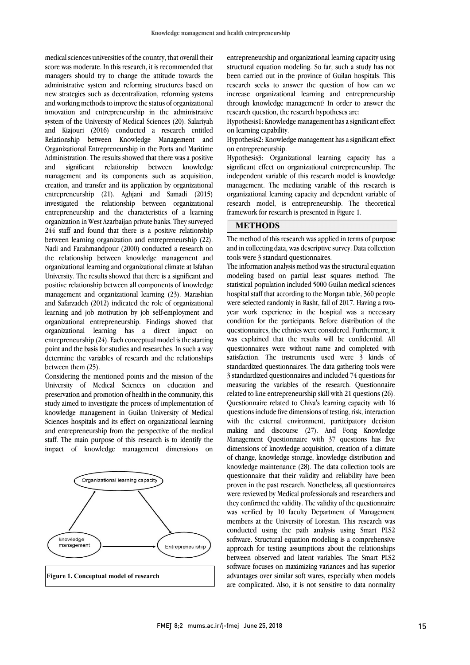score was moderate. In this research, it is recommended that managers should try to change the attitude towards the administrative system and reforming structures based on new strategies such as decentralization, reforming systems innovation and entrepreneurship in the administrative system of the University of Medical Sciences (20). Salariyah and Kiajouri (2016) conducted a research entitled Relationship between Knowledge Management and Administration. The results showed that there was a positive and significant relationship between knowledge management and its components such as acquisition, creation, and transfer and its application by organizational  $\frac{1}{2}$  investigated the relationship between organizational entrepreneurship and the characteristics of a learning organization in West Azarbaijan private banks. They surveyed 244 stair and iound that there is a positive relationship<br>between learning organization and entrepreneurship (22). Nadi and Farahmandpour (2000) conducted a research on the relationship between knowledge management and organizational learning and organizational climate at Isfahan University. The results showed that there is a significant and<br>no stiffes arbitrary high hatter and large property of learning that management and organizational learning (23). Marashian and Safarzadeh (2012) indicated the role of organizational learning and job motivation by job self-employment and organizational learning has a direct impact on entrepreneurship  $(24)$ . Each conceptual model is the starting point and the basis for studies and researches. In such a way determine the variables of research and the relationships medical sciences universities of the country, that overall their and working methods to improve the status of organizational Organizational Entrepreneurship in the Ports and Maritime entrepreneurship (21). Aghjani and Samadi (2015) 244 staff and found that there is a positive relationship positive relationship between all components of knowledge organizational entrepreneurship. Findings showed that between them (25).

Considering the mentioned points and the mission of the University of Medical Sciences on education and preservation and promotion of health in the community, this study aimed to investigate the process of implementation of Sciences hospitals and its effect on organizational learning and entrepreneurship from the perspective of the medical staff. The main purpose of this research is to identify the impact of knowledge management dimensions on knowledge management in Guilan University of Medical



 structural equation modeling. So far, such a study has not been carried out in the province of Guilan hospitals. This research seeks to answer the question of how can we increase organizational learning and entrepreneurship entrepreneurship and organizational learning capacity using through knowledge management? In order to answer the research question, the research hypotheses are:

 Hypothesis1: Knowledge management has a significant effect on learning capability.

 Hypothesis2: Knowledge management has a significant effect on entrepreneurship.

 Hypothesis3: Organizational learning capacity has a significant effect on organizational entrepreneurship. The independent variable of this research model is knowledge management. The mediating variable of this research is<br>consistential learning sensitive and dependent writely of research model, is entrepreneurship. The theoretical organizational learning capacity and dependent variable of framework for research is presented in Figure 1.

## **METHODS**

 The method of this research was applied in terms of purpose and in collecting data, was descriptive survey. Data collection tools were 3 standard questionnaires.

٦

 The information analysis method was the structural equation statistical population included 5000 Guilan medical sciences hospital staff that according to the Morgan table, 360 people were selected randomly in Rasht, fall of 2017. Having a two- year work experience in the hospital was a necessary questionnaires, the ethnics were considered. Furthermore, it was explained that the results will be confidential. All questionnaires were without name and completed with sausiacuon. The instruments used were 5 kinds of<br>standardized questionnaires. The data gathering tools were 3 standardized questionnaires and included 74 questions for measuring the variables of the research. Questionnaire related to line entrepreneurship skill with 21 questions (26). questions include five dimensions of testing, risk, interaction with the external environment, participatory decision making and discourse (27). And Fong Knowledge Management Questionnaire with 37 questions has five of change, knowledge storage, knowledge distribution and knowledge maintenance (28). The data collection tools are questionnaire that their validity and reliability have been proven in the past research. Nonetheless, all questionnaires they confirmed the validity. The validity of the questionnaire was verified by 10 faculty Department of Management members at the University of Lorestan. This research was conducted using the path analysis using Smart PLS2 approach for testing assumptions about the relationships between observed and latent variables. The Smart PLS2 software focuses on maximizing variances and has superior advantages over similar soft wares, especially when models are complicated. Also, it is not sensitive to data normality modeling based on partial least squares method. The condition for the participants. Before distribution of the satisfaction. The instruments used were 3 kinds of Questionnaire related to Chiva's learning capacity with 16 dimensions of knowledge acquisition, creation of a climate were reviewed by Medical professionals and researchers and software. Structural equation modeling is a comprehensive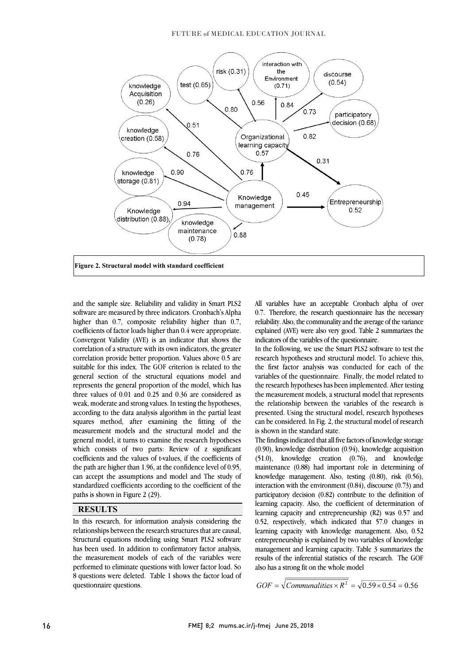#### FUTURE of MEDICAL EDUCATION JOURNAL



and the sample size. Reliability and validity in Smart PLS2 and the sample size. Reliability and validity in Smart PLS2<br>software are measured by three indicators. Cronbach's Alpha higher than 0.7, composite reliability higher than 0.7, Convergent Validity (AVE) is an indicator that shows the correlation of a structure with its own indicators, the greater correlation provide better proportion. Values above 0.5 are suitable for this muck. The GOP efficition is related to the<br>general section of the structural equations model and represents the general proportion of the model, which has three values of 0.01 and 0.25 and 0.36 are considered as weak, moderate and strong values. In testing the hypotheses, squares method, after examining the fitting of the measurement models and the structural model and the general model, it turns to examine the research hypotheses which consists of two parts: Review of z significant the path are higher than 1.96, at the confidence level of 0.95, can accept the assumptions and model and The study of standardized coefficients according to the coefficient of the coefficients of factor loads higher than 0.4 were appropriate. suitable for this index. The GOF criterion is related to the according to the data analysis algorithm in the partial least coefficients and the values of t-values, if the coefficients of paths is shown in Figure 2 (29).

#### **RESULTS**

 In this research, for information analysis considering the relationships between the research structures that are causal, has been used. In addition to confirmatory factor analysis, the measurement models of each of the variables were performed to eliminate questions with lower factor load. So 8 questions were deleted. Table 1 shows the factor load of Structural equations modeling using Smart PLS2 software questionnaire questions.

 All variables have an acceptable Cronbach alpha of over 0.7. Therefore, the research questionnaire has the necessary j explained (AVE) were also very good. Table 2 summarizes the reliability. Also, the communality and the average of the variance indicators of the variables of the questionnaire.

 $\overline{a}$ 

Ξ

 In the following, we use the Smart PLS2 software to test the research hypotheses and structural model. To achieve this, variables of the questionnaire. Finally, the model related to the research hypotheses has been implemented. After testing the measurement models, a structural model that represents the relationship between the variables of the research is can be considered. In Fig. 2, the structural model of research the first factor analysis was conducted for each of the presented. Using the structural model, research hypotheses is shown in the standard state.

 The findings indicated that all five factors of knowledge storage  $(0.90)$ , knowledge distribution  $(0.94)$ , knowledge acquisition maintenance (0.88) had important role in determining of knowledge management. Also, testing (0.80), risk (0.56), interaction with the environment (0.84), discourse (0.73) and participatory decision (0.82) contribute to the definition of learning capacity and entrepreneurship (R2) was 0.57 and 0.52, respectively, which indicated that 57.0 changes in learning capacity with knowledge management. Also, 0.52 management and learning capacity. Table 3 summarizes the results of the inferential statistics of the research. The GOF (51.0), knowledge creation (0.76), and knowledge learning capacity. Also, the coefficient of determination of entrepreneurship is explained by two variables of knowledge also has a strong fit on the whole model

$$
GOF = \sqrt{Communicinaalities \times R^2} = \sqrt{0.59 \times 0.54} = 0.56
$$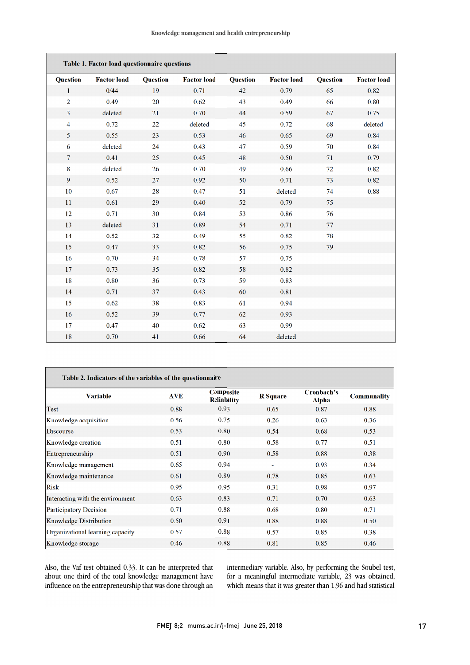| Table 1. Factor load questionnaire questions |                    |                 |                    |                 |                    |                 |                    |
|----------------------------------------------|--------------------|-----------------|--------------------|-----------------|--------------------|-----------------|--------------------|
| <b>Question</b>                              | <b>Factor</b> load | <b>Question</b> | <b>Factor load</b> | <b>Question</b> | <b>Factor</b> load | <b>Question</b> | <b>Factor</b> load |
| $\mathbf{1}$                                 | 0/44               | 19              | 0.71               | 42              | 0.79               | 65              | 0.82               |
| $\overline{2}$                               | 0.49               | 20              | 0.62               | 43              | 0.49               | 66              | 0.80               |
| 3                                            | deleted            | 21              | 0.70               | 44              | 0.59               | 67              | 0.75               |
| $\overline{4}$                               | 0.72               | 22              | deleted            | 45              | 0.72               | 68              | deleted            |
| 5                                            | 0.55               | 23              | 0.53               | 46              | 0.65               | 69              | 0.84               |
| 6                                            | deleted            | 24              | 0.43               | 47              | 0.59               | 70              | 0.84               |
| 7                                            | 0.41               | 25              | 0.45               | 48              | 0.50               | 71              | 0.79               |
| 8                                            | deleted            | 26              | 0.70               | 49              | 0.66               | 72              | 0.82               |
| 9                                            | 0.52               | 27              | 0.92               | 50              | 0.71               | 73              | 0.82               |
| 10                                           | 0.67               | 28              | 0.47               | 51              | deleted            | 74              | 0.88               |
| 11                                           | 0.61               | 29              | 0.40               | 52              | 0.79               | 75              |                    |
| 12                                           | 0.71               | 30              | 0.84               | 53              | 0.86               | 76              |                    |
| 13                                           | deleted            | 31              | 0.89               | 54              | 0.71               | 77              |                    |
| 14                                           | 0.52               | 32              | 0.49               | 55              | 0.82               | 78              |                    |
| 15                                           | 0.47               | 33              | 0.82               | 56              | 0.75               | 79              |                    |
| 16                                           | 0.70               | 34              | 0.78               | 57              | 0.75               |                 |                    |
| 17                                           | 0.73               | 35              | 0.82               | 58              | 0.82               |                 |                    |
| 18                                           | 0.80               | 36              | 0.73               | 59              | 0.83               |                 |                    |
| 14                                           | 0.71               | 37              | 0.43               | 60              | 0.81               |                 |                    |
| 15                                           | 0.62               | 38              | 0.83               | 61              | 0.94               |                 |                    |
| 16                                           | 0.52               | 39              | 0.77               | 62              | 0.93               |                 |                    |
| 17                                           | 0.47               | 40              | 0.62               | 63              | 0.99               |                 |                    |
| 18                                           | 0.70               | 41              | 0.66               | 64              | deleted            |                 |                    |

| Table 2. Indicators of the variables of the questionnaire |            |                                 |                 |                     |                    |  |  |
|-----------------------------------------------------------|------------|---------------------------------|-----------------|---------------------|--------------------|--|--|
| <b>Variable</b>                                           | <b>AVE</b> | Composite<br><b>Reliability</b> | <b>R</b> Square | Cronbach's<br>Alpha | <b>Communality</b> |  |  |
| Test                                                      | 0.88       | 0.93                            | 0.65            | 0.87                | 0.88               |  |  |
| Knowledge acquisition                                     | 0.56       | 0.75                            | 0.26            | 0.63                | 0.36               |  |  |
| Discourse                                                 | 0.53       | 0.80                            | 0.54            | 0.68                | 0.53               |  |  |
| Knowledge creation                                        | 0.51       | 0.80                            | 0.58            | 0.77                | 0.51               |  |  |
| Entrepreneurship                                          | 0.51       | 0.90                            | 0.58            | 0.88                | 0.38               |  |  |
| Knowledge management                                      | 0.65       | 0.94                            |                 | 0.93                | 0.34               |  |  |
| Knowledge maintenance                                     | 0.61       | 0.89                            | 0.78            | 0.85                | 0.63               |  |  |
| Risk                                                      | 0.95       | 0.95                            | 0.31            | 0.98                | 0.97               |  |  |
| Interacting with the environment                          | 0.63       | 0.83                            | 0.71            | 0.70                | 0.63               |  |  |
| Participatory Decision                                    | 0.71       | 0.88                            | 0.68            | 0.80                | 0.71               |  |  |
| Knowledge Distribution                                    | 0.50       | 0.91                            | 0.88            | 0.88                | 0.50               |  |  |
| Organizational learning capacity                          | 0.57       | 0.88                            | 0.57            | 0.85                | 0.38               |  |  |
| Knowledge storage                                         | 0.46       | 0.88                            | 0.81            | 0.85                | 0.46               |  |  |

Also, the Vaf test obtained 0.33. It can be interpreted that about one third of the total knowledge management have influence on the entrepreneurship that was done through an

intermediary variable. Also, by performing the Soubel test, for a meaningful intermediate variable, 23 was obtained, which means that it was greater than 1.96 and had statistical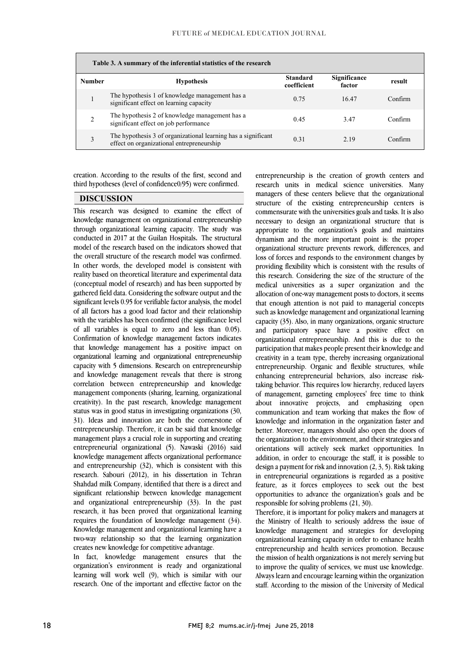| Table 3. A summary of the inferential statistics of the research |                                                                                                            |                                |                        |         |  |  |
|------------------------------------------------------------------|------------------------------------------------------------------------------------------------------------|--------------------------------|------------------------|---------|--|--|
| <b>Number</b>                                                    | <b>Hypothesis</b>                                                                                          | <b>Standard</b><br>coefficient | Significance<br>factor | result  |  |  |
|                                                                  | The hypothesis 1 of knowledge management has a<br>significant effect on learning capacity                  | 0.75                           | 16.47                  | Confirm |  |  |
|                                                                  | The hypothesis 2 of knowledge management has a<br>significant effect on job performance                    | 0.45                           | 3.47                   | Confirm |  |  |
| 3                                                                | The hypothesis 3 of organizational learning has a significant<br>effect on organizational entrepreneurship | 0.31                           | 2.19                   | Confirm |  |  |

creation. According to the results of the first, second and third hypotheses (level of confidence0/95) were confirmed.

#### **DISCUSSION**

This research was designed to examine the effect of knowledge management on organizational entrepreneurship through organizational learning capacity. The study was conducted in 2017 at the Guilan Hospitals**.** The structural model of the research based on the indicators showed that the overall structure of the research model was confirmed. In other words, the developed model is consistent with reality based on theoretical literature and experimental data (conceptual model of research) and has been supported by gathered field data. Considering the software output and the significant levels 0.95 for verifiable factor analysis, the model of all factors has a good load factor and their relationship with the variables has been confirmed (the significance level of all variables is equal to zero and less than 0.05). Confirmation of knowledge management factors indicates that knowledge management has a positive impact on organizational learning and organizational entrepreneurship capacity with 5 dimensions. Research on entrepreneurship and knowledge management reveals that there is strong correlation between entrepreneurship and knowledge management components (sharing, learning, organizational creativity). In the past research, knowledge management status was in good status in investigating organizations (30, 31). Ideas and innovation are both the cornerstone of entrepreneurship. Therefore, it can be said that knowledge management plays a crucial role in supporting and creating entrepreneurial organizational (5). Nawaski (2016) said knowledge management affects organizational performance and entrepreneurship (32), which is consistent with this research. Sabouri (2012), in his dissertation in Tehran Shahdad milk Company, identified that there is a direct and significant relationship between knowledge management and organizational entrepreneurship (33). In the past research, it has been proved that organizational learning requires the foundation of knowledge management (34). Knowledge management and organizational learning have a two-way relationship so that the learning organization creates new knowledge for competitive advantage.

In fact, knowledge management ensures that the organization's environment is ready and organizational learning will work well (9), which is similar with our research. One of the important and effective factor on the entrepreneurship is the creation of growth centers and research units in medical science universities. Many managers of these centers believe that the organizational structure of the existing entrepreneurship centers is commensurate with the universities goals and tasks. It is also necessary to design an organizational structure that is appropriate to the organization's goals and maintains dynamism and the more important point is: the proper organizational structure prevents rework, differences, and loss of forces and responds to the environment changes by providing flexibility which is consistent with the results of this research. Considering the size of the structure of the medical universities as a super organization and the allocation of one-way management posts to doctors, it seems that enough attention is not paid to managerial concepts such as knowledge management and organizational learning capacity (35). Also, in many organizations, organic structure and participatory space have a positive effect on organizational entrepreneurship. And this is due to the participation that makes people present their knowledge and creativity in a team type, thereby increasing organizational entrepreneurship. Organic and flexible structures, while enhancing entrepreneurial behaviors, also increase risktaking behavior. This requires low hierarchy, reduced layers of management, garneting employees' free time to think about innovative projects, and emphasizing open communication and team working that makes the flow of knowledge and information in the organization faster and better. Moreover, managers should also open the doors of the organization to the environment, and their strategies and orientations will actively seek market opportunities. In addition, in order to encourage the staff, it is possible to design a payment for risk and innovation (2, 3, 5). Risk taking in entrepreneurial organizations is regarded as a positive feature, as it forces employees to seek out the best opportunities to advance the organization's goals and be responsible for solving problems (21, 30).

Therefore, it is important for policy makers and managers at the Ministry of Health to seriously address the issue of knowledge management and strategies for developing organizational learning capacity in order to enhance health entrepreneurship and health services promotion. Because the mission of health organizations is not merely serving but to improve the quality of services, we must use knowledge. Always learn and encourage learning within the organization staff. According to the mission of the University of Medical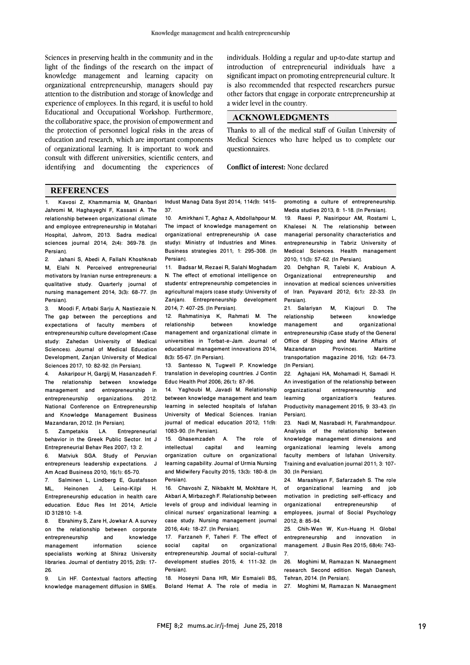Sciences in preserving health in the community and in the light of the findings of the research on the impact of knowledge management and learning capacity on organizational entrepreneurship, managers should pay attention to the distribution and storage of knowledge and experience of employees. In this regard, it is useful to hold Educational and Occupational Workshop. Furthermore, the collaborative space, the provision of empowerment and the protection of personnel logical risks in the areas of education and research, which are important components of organizational learning. It is important to work and consult with different universities, scientific centers, and identifying and documenting the experiences of

individuals. Holding a regular and up-to-date startup and introduction of entrepreneurial individuals have a significant impact on promoting entrepreneurial culture. It is also recommended that respected researchers pursue other factors that engage in corporate entrepreneurship at a wider level in the country.

#### **ACKNOWLEDGMENTS**

Thanks to all of the medical staff of Guilan University of Medical Sciences who have helped us to complete our questionnaires.

**Conflict of interest:** None declared

### **REFERENCES**

1. Kavosi Z, Khammarnia M, Ghanbari Jahromi M, Haghayeghi F, Kassani A. The relationship between organizational climate and employee entrepreneurship in Motahari Hospital, Jahrom, 2013. Sadra medical sciences journal 2014; 2(4): 369-78. [In Persian].

2. Jahani S, Abedi A, Fallahi Khoshknab M, Elahi N. Perceived entrepreneurial motivators by Iranian nurse entrepreneurs: a qualitative study. Quarterly journal of nursing management 2014; 3(3): 68-77. [In Persian].<br>3. Mo

3. Moodi F, Arbabi Sarju A, Nastiezaie N. The gap between the perceptions and expectations of faculty members of entrepreneurship culture development (Case study: Zahedan University of Medical Sciences). Journal of Medical Education Development, Zanjan University of Medical Sciences 2017; 10: 82-92. [In Persian].

4. Askaripour H, Gargij M, Hasanzadeh F. The relationship between knowledge management and entrepreneurship in entrepreneurship organizations. 2012. National Conference on Entrepreneurship and Knowledge Management Business Mazandaran, 2012. [In Persian].

5. Zampetakis LA. Entrepreneurial behavior in the Greek Public Sector. Int J Entrepreneurial Behav Res 2007; 13: 2.

6. Matviuk SGA. Study of Peruvian entrepreneurs leadership expectations. J Am Acad Business 2010; 16(1): 65-70.

7. Salminen L, Lindberg E, Gustafsson<br>ML. Heinonen J. Leino-Kilpi H. Leino-Kilpi Entrepreneurship education in health care education. Educ Res Int 2014; Article ID 312810: 1-8.

Ebrahimy S, Zare H, Jowkar A. A survey on the relationship between corporate entrepreneurship and knowledge management information science specialists working at Shiraz University libraries. Journal of dentistry 2015; 2(9): 17- 26.

9. Lin HF. Contextual factors affecting knowledge management diffusion in SMEs. Indust Manag Data Syst 2014; 114(9): 1415- 37.

10. Amirkhani T, Aghaz A, Abdollahpour M. The impact of knowledge management on organizational entrepreneurship (A case study): Ministry of Industries and Mines. Business strategies 2011; 1: 295-308. [In Persian].

11. Badsar M, Rezaei R, Salahi Moghadam N. The effect of emotional intelligence on students' entrepreneurship competencies in agricultural majors (case study: University of Zanian). Entrepreneurship development 2014; 7: 407-25. [In Persian].

12. Rahmatiniya K, Rahmati M. The relationship management and organizational climate in universities in Torbat-e-Jam. Journal of educational management innovations 2014; 8(3): 55-67. [In Persian].

13. Santesso N, Tugwell P. Knowledge translation in developing countries. J Contin Educ Health Prof 2006; 26(1): 87-96.

14. Yaghoubi M, Javadi M. Relationship between knowledge management and team learning in selected hospitals of Isfahan University of Medical Sciences. Iranian journal of medical education 2012; 11(9): 1083-90. [In Persian].

15. Ghasemzadeh A. The role of<br>intellectual capital and learning capital organization culture on organizational learning capability. Journal of Urmia Nursing and Midwifery Faculty 2015; 13(3): 180-8. [In Persian].

16. Chavoshi Z, Nikbakht M, Mokhtare H, Akbari A, Mirbazegh F. Relationship between levels of group and individual learning in clinical nurses' organizational learning: a case study. Nursing management journal 2016; 4(4): 18-27. [In Persian].

17. Farzaneh F, Taheri F. The effect of social capital on organizational entrepreneurship. Journal of social-cultural development studies 2015; 4: 111-32. [In Persian].

18. Hoseyni Dana HR, Mir Esmaieli BS, Boland Hemat A. The role of media in promoting a culture of entrepreneurship. Media studies 2013; 8: 1-18. [In Persian].

19. Raesi P, Nasiripour AM, Rostami L, Khalesei N. The relationship between managerial personality characteristics and entrepreneurship in Tabriz University of Medical Sciences. Health management 2010; 11(3): 57-62. [In Persian].

20. Dehghan R, Talebi K, Arabioun A. Organizational entrepreneurship and innovation at medical sciences universities of Iran. Payavard 2012; 6(1): 22-33. [In Persian].

21. Salariyan M, Kiajouri D. The relationship between knowledge<br>management and organizational organizational entrepreneurship (Case study of the General Office of Shipping and Marine Affairs of Mazandaran Province). Maritime transportation magazine 2016; 1(2): 64-73. [In Persian].

22. Aghajani HA, Mohamadi H, Samadi H. An investigation of the relationship between organizational entrepreneurship and learning organization's features. Productivity management 2015; 9: 33-43. [In Persian].

23. Nadi M, Nasrabadi H, Farahmandpour. Analysis of the relationship between knowledge management dimensions and organizational learning levels among faculty members of Isfahan University. Training and evaluation journal 2011; 3: 107- 30. [In Persian].

24. Marashiyan F, Safarzadeh S. The role<br>of organizational learning and job of organizational learning and job motivation in predicting self-efficacy and<br>organizational entrepreneurship of entrepreneurship employees, journal of Social Psychology 2012; 8: 85-94.

25. Chih-Wen W, Kun-Huang H. Global entrepreneurship and innovation in management. J Busin Res 2015; 68(4): 743- 7.

26. Moghimi M, Ramazan N. Manaegment research. Second edition. Negah Danesh, Tehran, 2014. [In Persian].

27. Moghimi M, Ramazan N. Manaegment